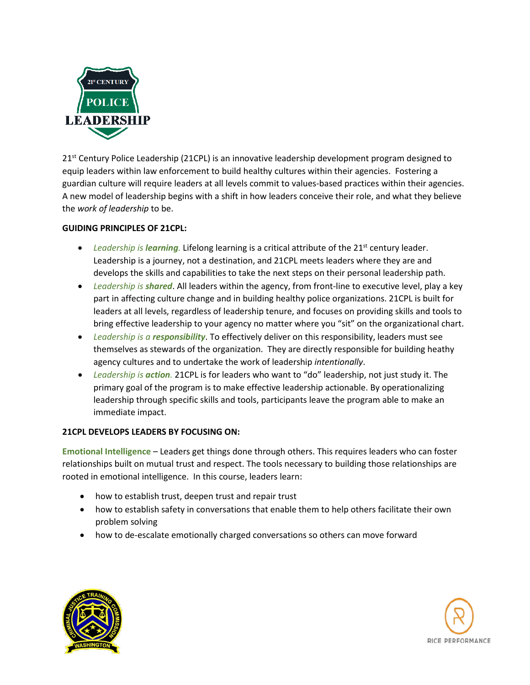

 $21<sup>st</sup>$  Century Police Leadership (21CPL) is an innovative leadership development program designed to equip leaders within law enforcement to build healthy cultures within their agencies. Fostering a guardian culture will require leaders at all levels commit to values-based practices within their agencies. A new model of leadership begins with a shift in how leaders conceive their role, and what they believe the *work of leadership* to be.

## **GUIDING PRINCIPLES OF 21CPL:**

- Leadership is **learning**. Lifelong learning is a critical attribute of the 21<sup>st</sup> century leader. Leadership is a journey, not a destination, and 21CPL meets leaders where they are and develops the skills and capabilities to take the next steps on their personal leadership path.
- *Leadership is shared*. All leaders within the agency, from front-line to executive level, play a key part in affecting culture change and in building healthy police organizations. 21CPL is built for leaders at all levels, regardless of leadership tenure, and focuses on providing skills and tools to bring effective leadership to your agency no matter where you "sit" on the organizational chart.
- *Leadership is a responsibility*. To effectively deliver on this responsibility, leaders must see themselves as stewards of the organization. They are directly responsible for building heathy agency cultures and to undertake the work of leadership *intentionally*.
- *Leadership is action.* 21CPL is for leaders who want to "do" leadership, not just study it. The primary goal of the program is to make effective leadership actionable. By operationalizing leadership through specific skills and tools, participants leave the program able to make an immediate impact.

## **21CPL DEVELOPS LEADERS BY FOCUSING ON:**

**Emotional Intelligence** – Leaders get things done through others. This requires leaders who can foster relationships built on mutual trust and respect. The tools necessary to building those relationships are rooted in emotional intelligence. In this course, leaders learn:

- how to establish trust, deepen trust and repair trust
- how to establish safety in conversations that enable them to help others facilitate their own problem solving
- how to de-escalate emotionally charged conversations so others can move forward